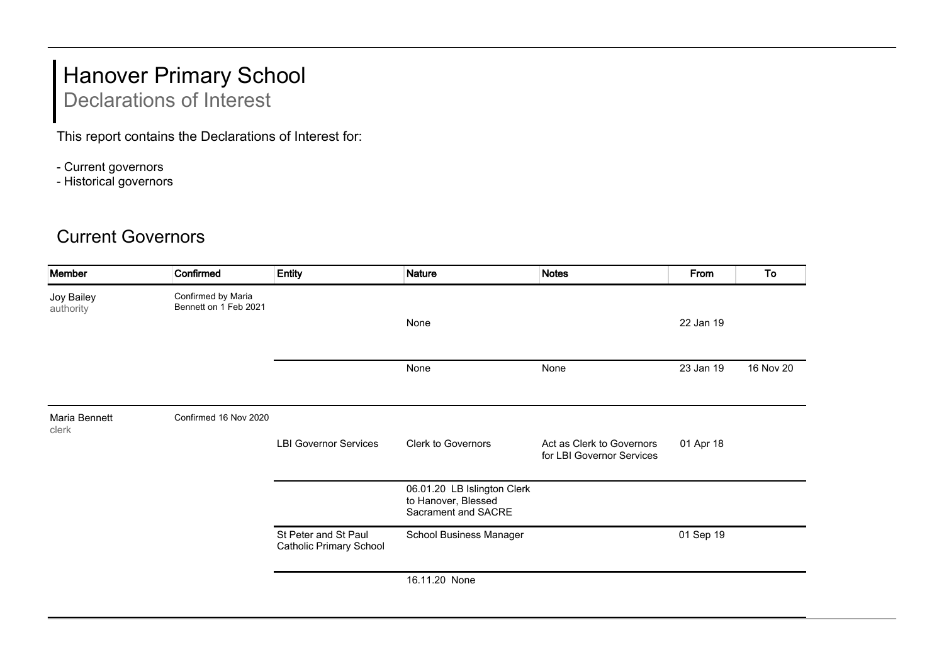## Hanover Primary School Declarations of Interest

This report contains the Declarations of Interest for:

- Current governors
- Historical governors

## Current Governors

| Member                  | Confirmed                                   | <b>Entity</b>                                          | <b>Nature</b>                                                             | <b>Notes</b>                                           | From      | To        |
|-------------------------|---------------------------------------------|--------------------------------------------------------|---------------------------------------------------------------------------|--------------------------------------------------------|-----------|-----------|
| Joy Bailey<br>authority | Confirmed by Maria<br>Bennett on 1 Feb 2021 |                                                        |                                                                           |                                                        |           |           |
|                         |                                             |                                                        | None                                                                      |                                                        | 22 Jan 19 |           |
|                         |                                             |                                                        | None                                                                      | None                                                   | 23 Jan 19 | 16 Nov 20 |
| Maria Bennett<br>clerk  | Confirmed 16 Nov 2020                       |                                                        |                                                                           |                                                        |           |           |
|                         |                                             | <b>LBI Governor Services</b>                           | Clerk to Governors                                                        | Act as Clerk to Governors<br>for LBI Governor Services | 01 Apr 18 |           |
|                         |                                             |                                                        | 06.01.20 LB Islington Clerk<br>to Hanover, Blessed<br>Sacrament and SACRE |                                                        |           |           |
|                         |                                             | St Peter and St Paul<br><b>Catholic Primary School</b> | School Business Manager                                                   |                                                        | 01 Sep 19 |           |
|                         |                                             |                                                        | 16.11.20 None                                                             |                                                        |           |           |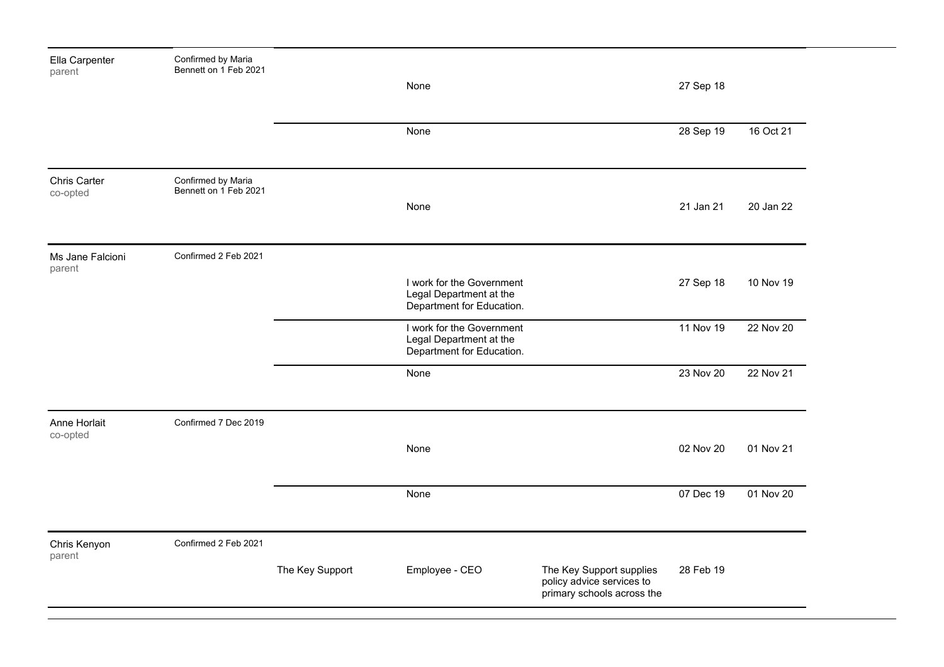| Ella Carpenter<br>parent   | Confirmed by Maria<br>Bennett on 1 Feb 2021 |                 |                                                                                   |                                                                                     |           |           |
|----------------------------|---------------------------------------------|-----------------|-----------------------------------------------------------------------------------|-------------------------------------------------------------------------------------|-----------|-----------|
|                            |                                             |                 | None                                                                              |                                                                                     | 27 Sep 18 |           |
|                            |                                             |                 | None                                                                              |                                                                                     | 28 Sep 19 | 16 Oct 21 |
| Chris Carter<br>co-opted   | Confirmed by Maria<br>Bennett on 1 Feb 2021 |                 | None                                                                              |                                                                                     | 21 Jan 21 | 20 Jan 22 |
| Ms Jane Falcioni<br>parent | Confirmed 2 Feb 2021                        |                 | I work for the Government<br>Legal Department at the<br>Department for Education. |                                                                                     | 27 Sep 18 | 10 Nov 19 |
|                            |                                             |                 | I work for the Government<br>Legal Department at the<br>Department for Education. |                                                                                     | 11 Nov 19 | 22 Nov 20 |
|                            |                                             |                 | None                                                                              |                                                                                     | 23 Nov 20 | 22 Nov 21 |
| Anne Horlait<br>co-opted   | Confirmed 7 Dec 2019                        |                 | None                                                                              |                                                                                     | 02 Nov 20 | 01 Nov 21 |
|                            |                                             |                 | None                                                                              |                                                                                     | 07 Dec 19 | 01 Nov 20 |
| Chris Kenyon<br>parent     | Confirmed 2 Feb 2021                        |                 |                                                                                   |                                                                                     |           |           |
|                            |                                             | The Key Support | Employee - CEO                                                                    | The Key Support supplies<br>policy advice services to<br>primary schools across the | 28 Feb 19 |           |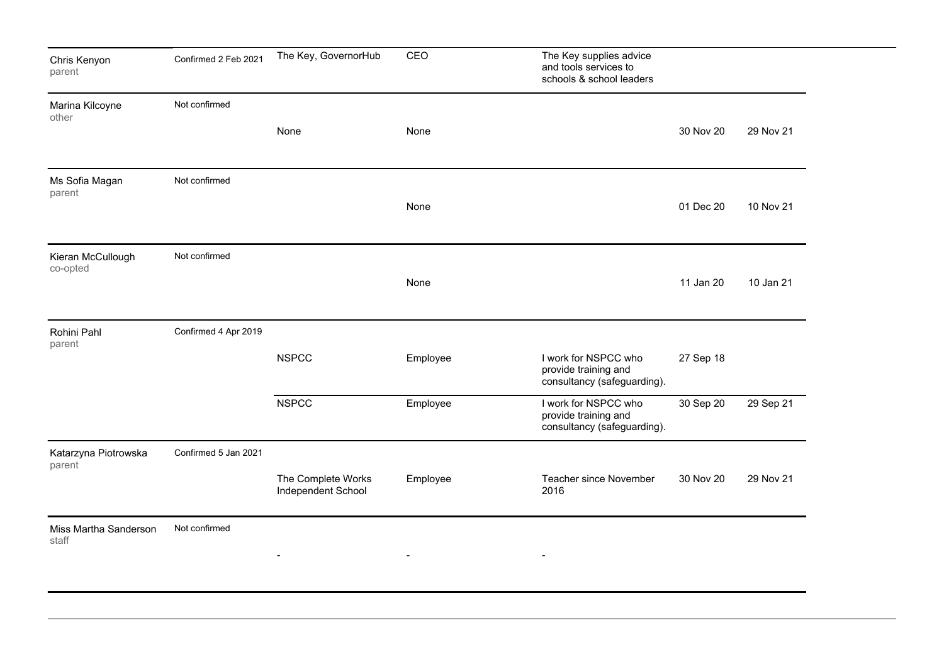| Chris Kenyon<br>parent         | Confirmed 2 Feb 2021 | The Key, GovernorHub                     | CEO                      | The Key supplies advice<br>and tools services to<br>schools & school leaders |           |           |
|--------------------------------|----------------------|------------------------------------------|--------------------------|------------------------------------------------------------------------------|-----------|-----------|
| Marina Kilcoyne<br>other       | Not confirmed        |                                          |                          |                                                                              |           |           |
|                                |                      | None                                     | None                     |                                                                              | 30 Nov 20 | 29 Nov 21 |
| Ms Sofia Magan<br>parent       | Not confirmed        |                                          | None                     |                                                                              | 01 Dec 20 | 10 Nov 21 |
|                                |                      |                                          |                          |                                                                              |           |           |
| Kieran McCullough<br>co-opted  | Not confirmed        |                                          |                          |                                                                              |           |           |
|                                |                      |                                          | None                     |                                                                              | 11 Jan 20 | 10 Jan 21 |
| Rohini Pahl<br>parent          | Confirmed 4 Apr 2019 |                                          |                          |                                                                              |           |           |
|                                |                      | <b>NSPCC</b>                             | Employee                 | I work for NSPCC who<br>provide training and<br>consultancy (safeguarding).  | 27 Sep 18 |           |
|                                |                      | <b>NSPCC</b>                             | Employee                 | I work for NSPCC who<br>provide training and<br>consultancy (safeguarding).  | 30 Sep 20 | 29 Sep 21 |
| Katarzyna Piotrowska<br>parent | Confirmed 5 Jan 2021 |                                          |                          |                                                                              |           |           |
|                                |                      | The Complete Works<br>Independent School | Employee                 | <b>Teacher since November</b><br>2016                                        | 30 Nov 20 | 29 Nov 21 |
| Miss Martha Sanderson<br>staff | Not confirmed        |                                          |                          |                                                                              |           |           |
|                                |                      | $\overline{\phantom{a}}$                 | $\overline{\phantom{a}}$ |                                                                              |           |           |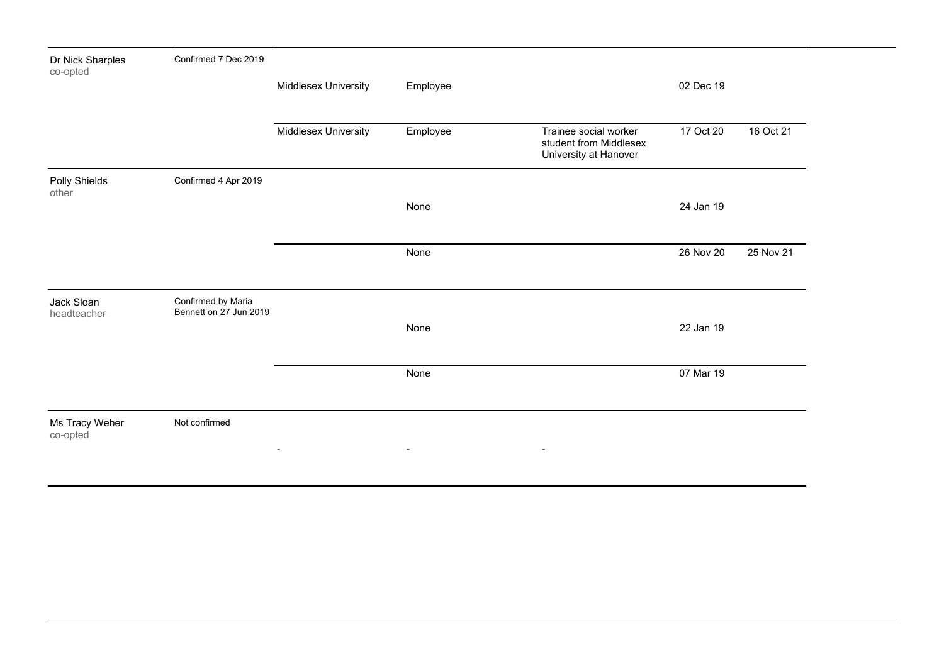| Dr Nick Sharples<br>co-opted | Confirmed 7 Dec 2019                         |                      |                |                                                                          |           |           |
|------------------------------|----------------------------------------------|----------------------|----------------|--------------------------------------------------------------------------|-----------|-----------|
|                              |                                              | Middlesex University | Employee       |                                                                          | 02 Dec 19 |           |
|                              |                                              | Middlesex University | Employee       | Trainee social worker<br>student from Middlesex<br>University at Hanover | 17 Oct 20 | 16 Oct 21 |
| Polly Shields<br>other       | Confirmed 4 Apr 2019                         |                      |                |                                                                          | 24 Jan 19 |           |
|                              |                                              |                      | None           |                                                                          |           |           |
|                              |                                              |                      | None           |                                                                          | 26 Nov 20 | 25 Nov 21 |
| Jack Sloan<br>headteacher    | Confirmed by Maria<br>Bennett on 27 Jun 2019 |                      |                |                                                                          |           |           |
|                              |                                              |                      | None           |                                                                          | 22 Jan 19 |           |
|                              |                                              |                      | None           |                                                                          | 07 Mar 19 |           |
| Ms Tracy Weber<br>co-opted   | Not confirmed                                | $\blacksquare$       | $\blacksquare$ | $\blacksquare$                                                           |           |           |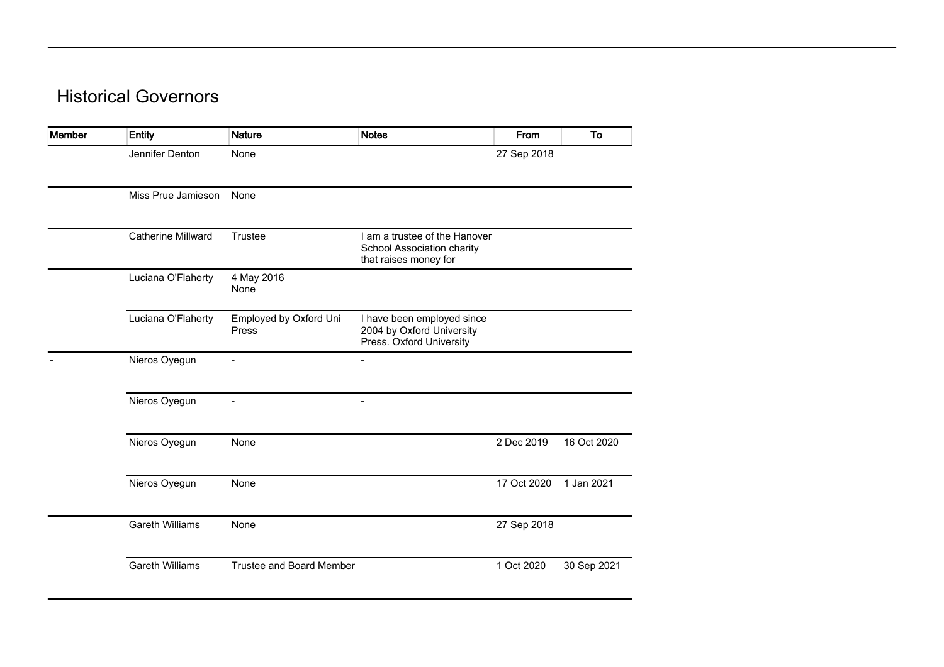## Historical Governors

| Member | <b>Entity</b>          | <b>Nature</b>                   | <b>Notes</b>                                                                         | From        | To          |
|--------|------------------------|---------------------------------|--------------------------------------------------------------------------------------|-------------|-------------|
|        | Jennifer Denton        | None                            |                                                                                      | 27 Sep 2018 |             |
|        | Miss Prue Jamieson     | None                            |                                                                                      |             |             |
|        | Catherine Millward     | Trustee                         | I am a trustee of the Hanover<br>School Association charity<br>that raises money for |             |             |
|        | Luciana O'Flaherty     | 4 May 2016<br>None              |                                                                                      |             |             |
|        | Luciana O'Flaherty     | Employed by Oxford Uni<br>Press | I have been employed since<br>2004 by Oxford University<br>Press. Oxford University  |             |             |
|        | Nieros Oyegun          | $\blacksquare$                  | $\overline{\phantom{a}}$                                                             |             |             |
|        | Nieros Oyegun          |                                 | $\overline{\phantom{a}}$                                                             |             |             |
|        | Nieros Oyegun          | None                            |                                                                                      | 2 Dec 2019  | 16 Oct 2020 |
|        | Nieros Oyegun          | None                            |                                                                                      | 17 Oct 2020 | 1 Jan 2021  |
|        | <b>Gareth Williams</b> | None                            |                                                                                      | 27 Sep 2018 |             |
|        | <b>Gareth Williams</b> | <b>Trustee and Board Member</b> |                                                                                      | 1 Oct 2020  | 30 Sep 2021 |
|        |                        |                                 |                                                                                      |             |             |